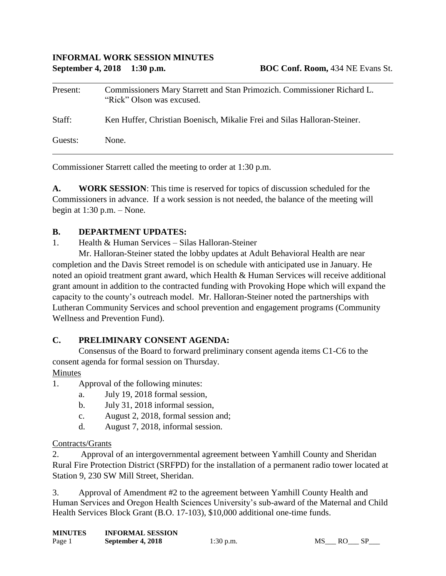#### **INFORMAL WORK SESSION MINUTES September 4, 2018 1:30 p.m. BOC Conf. Room,** 434 NE Evans St.

| Present: | Commissioners Mary Starrett and Stan Primozich. Commissioner Richard L.<br>"Rick" Olson was excused. |
|----------|------------------------------------------------------------------------------------------------------|
| Staff:   | Ken Huffer, Christian Boenisch, Mikalie Frei and Silas Halloran-Steiner.                             |
| Guests:  | None.                                                                                                |

Commissioner Starrett called the meeting to order at 1:30 p.m.

**A. WORK SESSION**: This time is reserved for topics of discussion scheduled for the Commissioners in advance. If a work session is not needed, the balance of the meeting will begin at  $1:30$  p.m.  $-$  None.

#### **B. DEPARTMENT UPDATES:**

1. Health & Human Services – Silas Halloran-Steiner

Mr. Halloran-Steiner stated the lobby updates at Adult Behavioral Health are near completion and the Davis Street remodel is on schedule with anticipated use in January. He noted an opioid treatment grant award, which Health & Human Services will receive additional grant amount in addition to the contracted funding with Provoking Hope which will expand the capacity to the county's outreach model. Mr. Halloran-Steiner noted the partnerships with Lutheran Community Services and school prevention and engagement programs (Community Wellness and Prevention Fund).

## **C. PRELIMINARY CONSENT AGENDA:**

Consensus of the Board to forward preliminary consent agenda items C1-C6 to the consent agenda for formal session on Thursday.

#### Minutes

- 1. Approval of the following minutes:
	- a. July 19, 2018 formal session,
	- b. July 31, 2018 informal session,
	- c. August 2, 2018, formal session and;
	- d. August 7, 2018, informal session.

## Contracts/Grants

2. Approval of an intergovernmental agreement between Yamhill County and Sheridan Rural Fire Protection District (SRFPD) for the installation of a permanent radio tower located at Station 9, 230 SW Mill Street, Sheridan.

3. Approval of Amendment #2 to the agreement between Yamhill County Health and Human Services and Oregon Health Sciences University's sub-award of the Maternal and Child Health Services Block Grant (B.O. 17-103), \$10,000 additional one-time funds.